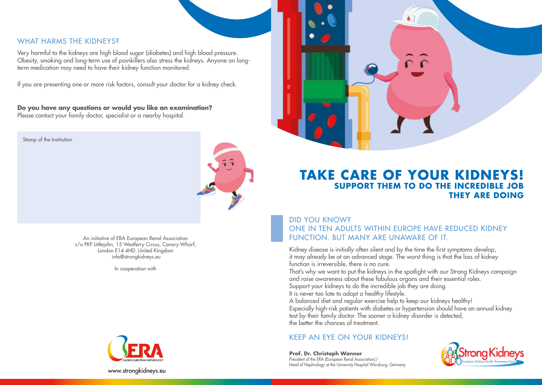#### WHAT HARMS THE KIDNEYS?

Very harmful to the kidneys are high blood sugar (diabetes) and high blood pressure. Obesity, smoking and long-term use of painkillers also stress the kidneys. Anyone on longterm medication may need to have their kidney function monitored.

If you are presenting one or more risk factors, consult your doctor for a kidney check.

**Do you have any questions or would you like an examination?** Please contact your family doctor, specialist or a nearby hospital.

Stamp of the Institution



An initiative of ERA European Renal Association c/o PKF Littlejohn, 15 Westferry Circus, Canary Wharf, London E14 4HD, United Kingdom info@strongkidneys.eu

In cooperation with



### **TAKE CARE OF YOUR KIDNEYS! SUPPORT THEM TO DO THE INCREDIBLE THEY ARE DOING**

DID YOU KNOW? ONE IN TEN ADULTS WITHIN EUROPE HAVE REDUCED KIDNEY FUNCTION. BUT MANY ARE UNAWARE OF IT.

Kidney disease is initially often silent and by the time the first symptoms develop, it may already be at an advanced stage. The worst thing is that the loss of kidney function is irreversible, there is no cure.

That's why we want to put the kidneys in the spotlight with our Strong Kidneys campaign and raise awareness about these fabulous organs and their essential roles. Support your kidneys to do the incredible job they are doing.

It is never too late to adopt a healthy lifestyle.

A balanced diet and regular exercise help to keep our kidneys healthy! Especially high-risk patients with diabetes or hypertension should have an annual kidney test by their family doctor. The sooner a kidney disorder is detected, the better the chances of treatment.

#### KEEP AN EYE ON YOUR KIDNEYS!

**Prof. Dr. Christoph Wanner** President of the ERA (European Renal Association)/ Head of Nephrology at the University Hospital Würzburg, Germany